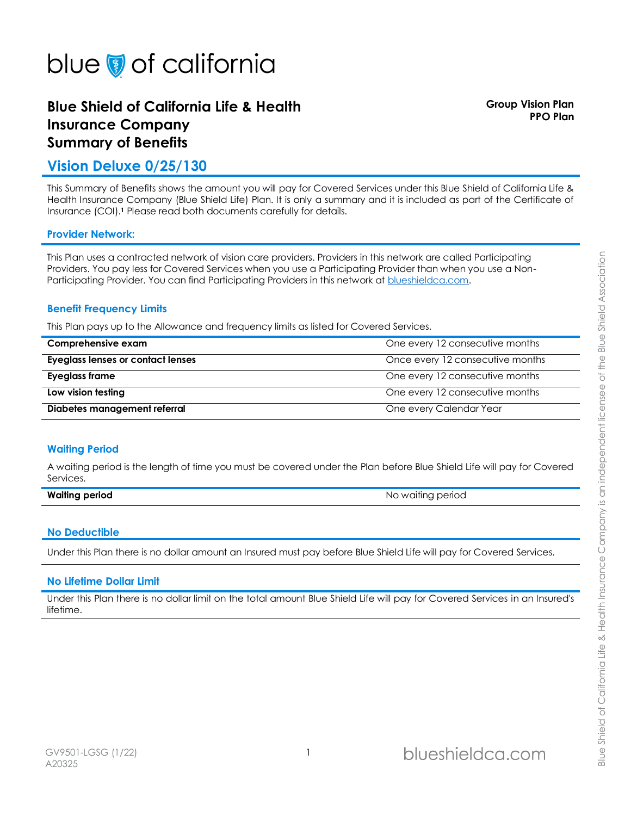# **Blue Shield of California Life & Health Insurance Company Summary of Benefits**

**Group Vision Plan PPO Plan**

# **Vision Deluxe 0/25/130**

This Summary of Benefits shows the amount you will pay for Covered Services under this Blue Shield of California Life & Health Insurance Company (Blue Shield Life) Plan. It is only a summary and it is included as part of the Certificate of Insurance (COI).**<sup>1</sup>** Please read both documents carefully for details.

## **Provider Network:**

This Plan uses a contracted network of vision care providers. Providers in this network are called Participating Providers. You pay less for Covered Services when you use a Participating Provider than when you use a Non-Participating Provider. You can find Participating Providers in this network at blueshieldca.com.

## **Benefit Frequency Limits**

This Plan pays up to the Allowance and frequency limits as listed for Covered Services.

| Comprehensive exam                | One every 12 consecutive months  |
|-----------------------------------|----------------------------------|
| Eyeglass lenses or contact lenses | Once every 12 consecutive months |
| Eyeglass frame                    | One every 12 consecutive months  |
| Low vision testing                | One every 12 consecutive months  |
| Diabetes management referral      | One every Calendar Year          |

## **Waiting Period**

A waiting period is the length of time you must be covered under the Plan before Blue Shield Life will pay for Covered Services.

| <b>Waiting period</b> |  |
|-----------------------|--|
|                       |  |

## **No Deductible**

Under this Plan there is no dollar amount an Insured must pay before Blue Shield Life will pay for Covered Services.

## **No Lifetime Dollar Limit**

Under this Plan there is no dollar limit on the total amount Blue Shield Life will pay for Covered Services in an Insured's lifetime.

**Waiting period** No waiting period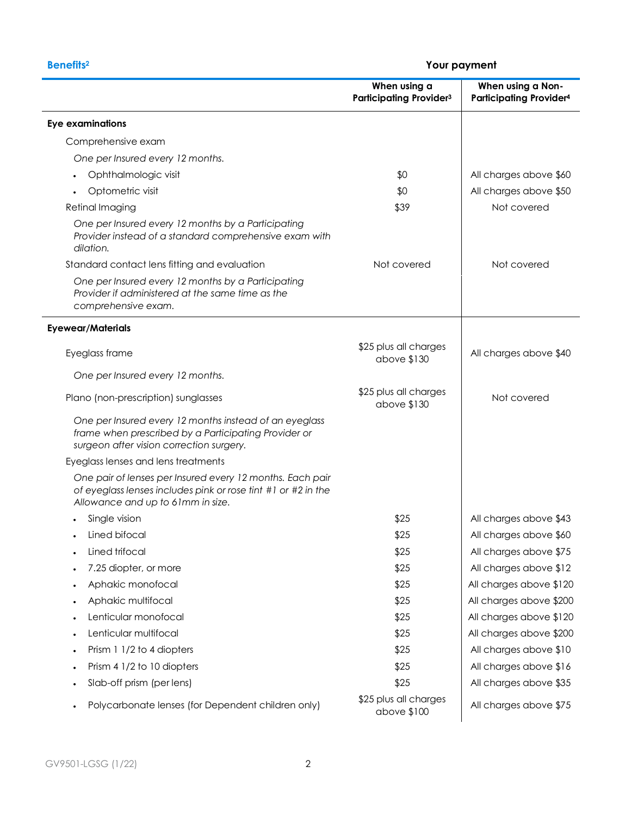| <b>Benefits<sup>2</sup></b>                                                                                                                                     |                                                | Your payment                                        |  |
|-----------------------------------------------------------------------------------------------------------------------------------------------------------------|------------------------------------------------|-----------------------------------------------------|--|
|                                                                                                                                                                 | When using a<br><b>Participating Provider3</b> | When using a Non-<br><b>Participating Provider4</b> |  |
| <b>Eye examinations</b>                                                                                                                                         |                                                |                                                     |  |
| Comprehensive exam                                                                                                                                              |                                                |                                                     |  |
| One per Insured every 12 months.                                                                                                                                |                                                |                                                     |  |
| Ophthalmologic visit                                                                                                                                            | \$0                                            | All charges above \$60                              |  |
| Optometric visit                                                                                                                                                | \$0                                            | All charges above \$50                              |  |
| Retinal Imaging                                                                                                                                                 | \$39                                           | Not covered                                         |  |
| One per Insured every 12 months by a Participating<br>Provider instead of a standard comprehensive exam with<br>dilation.                                       |                                                |                                                     |  |
| Standard contact lens fitting and evaluation                                                                                                                    | Not covered                                    | Not covered                                         |  |
| One per Insured every 12 months by a Participating<br>Provider if administered at the same time as the<br>comprehensive exam.                                   |                                                |                                                     |  |
| <b>Eyewear/Materials</b>                                                                                                                                        |                                                |                                                     |  |
| Eyeglass frame                                                                                                                                                  | \$25 plus all charges<br>above \$130           | All charges above \$40                              |  |
| One per Insured every 12 months.                                                                                                                                |                                                |                                                     |  |
| Plano (non-prescription) sunglasses                                                                                                                             | \$25 plus all charges<br>above \$130           | Not covered                                         |  |
| One per Insured every 12 months instead of an eyeglass<br>frame when prescribed by a Participating Provider or<br>surgeon after vision correction surgery.      |                                                |                                                     |  |
| Eyeglass lenses and lens treatments                                                                                                                             |                                                |                                                     |  |
| One pair of lenses per Insured every 12 months. Each pair<br>of eyeglass lenses includes pink or rose tint #1 or #2 in the<br>Allowance and up to 61mm in size. |                                                |                                                     |  |
| Single vision                                                                                                                                                   | \$25                                           | All charges above \$43                              |  |
| Lined bifocal<br>$\bullet$                                                                                                                                      | \$25                                           | All charges above \$60                              |  |
| Lined trifocal                                                                                                                                                  | \$25                                           | All charges above \$75                              |  |
| 7.25 diopter, or more                                                                                                                                           | \$25                                           | All charges above \$12                              |  |
| Aphakic monofocal                                                                                                                                               | \$25                                           | All charges above \$120                             |  |
| Aphakic multifocal<br>٠                                                                                                                                         | \$25                                           | All charges above \$200                             |  |
| Lenticular monofocal                                                                                                                                            | \$25                                           | All charges above \$120                             |  |
| Lenticular multifocal                                                                                                                                           | \$25                                           | All charges above \$200                             |  |
| Prism 1 1/2 to 4 diopters<br>٠                                                                                                                                  | \$25                                           | All charges above \$10                              |  |
| Prism 4 1/2 to 10 diopters                                                                                                                                      | \$25                                           | All charges above \$16                              |  |
| Slab-off prism (per lens)                                                                                                                                       | \$25                                           | All charges above \$35                              |  |
| Polycarbonate lenses (for Dependent children only)<br>$\bullet$                                                                                                 | \$25 plus all charges<br>above \$100           | All charges above \$75                              |  |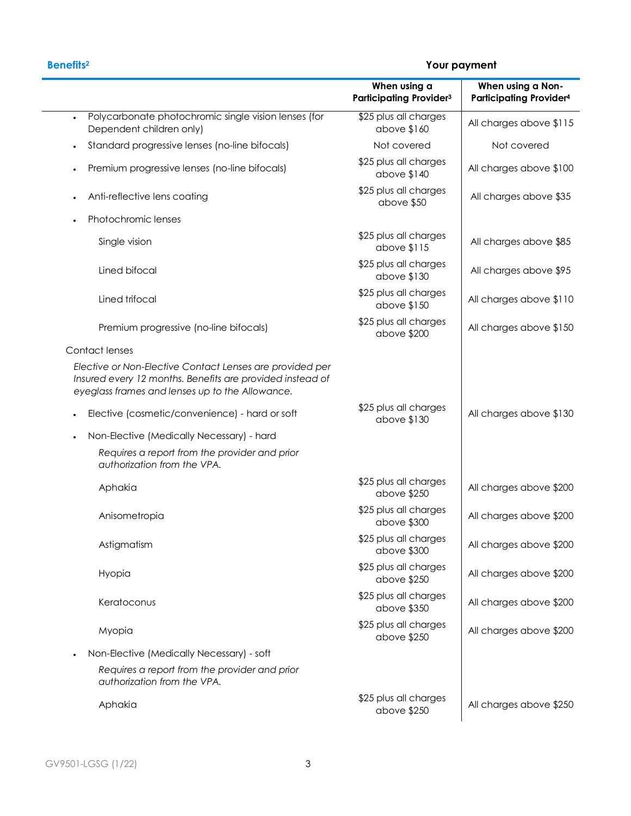# **Benefits<sup>2</sup> Your payment**

|                                                                                                                                                                                                                            | When using a<br><b>Participating Provider3</b> | When using a Non-<br><b>Participating Provider4</b> |
|----------------------------------------------------------------------------------------------------------------------------------------------------------------------------------------------------------------------------|------------------------------------------------|-----------------------------------------------------|
| Polycarbonate photochromic single vision lenses (for<br>Dependent children only)                                                                                                                                           | \$25 plus all charges<br>above \$160           | All charges above \$115                             |
| Standard progressive lenses (no-line bifocals)                                                                                                                                                                             | Not covered                                    | Not covered                                         |
| Premium progressive lenses (no-line bifocals)                                                                                                                                                                              | \$25 plus all charges<br>above \$140           | All charges above \$100                             |
| Anti-reflective lens coating                                                                                                                                                                                               | \$25 plus all charges<br>above \$50            | All charges above \$35                              |
| Photochromic lenses                                                                                                                                                                                                        |                                                |                                                     |
| Single vision                                                                                                                                                                                                              | \$25 plus all charges<br>above \$115           | All charges above \$85                              |
| Lined bifocal                                                                                                                                                                                                              | \$25 plus all charges<br>above \$130           | All charges above \$95                              |
| Lined trifocal                                                                                                                                                                                                             | \$25 plus all charges<br>above \$150           | All charges above \$110                             |
| Premium progressive (no-line bifocals)                                                                                                                                                                                     | \$25 plus all charges<br>above \$200           | All charges above \$150                             |
| Contact lenses                                                                                                                                                                                                             |                                                |                                                     |
| Elective or Non-Elective Contact Lenses are provided per<br>Insured every 12 months. Benefits are provided instead of<br>eyeglass frames and lenses up to the Allowance.<br>Elective (cosmetic/convenience) - hard or soft | \$25 plus all charges                          | All charges above \$130                             |
|                                                                                                                                                                                                                            | above \$130                                    |                                                     |
| Non-Elective (Medically Necessary) - hard                                                                                                                                                                                  |                                                |                                                     |
| Requires a report from the provider and prior<br>authorization from the VPA.                                                                                                                                               |                                                |                                                     |
| Aphakia                                                                                                                                                                                                                    | \$25 plus all charges<br>above \$250           | All charges above \$200                             |
| Anisometropia                                                                                                                                                                                                              | \$25 plus all charges<br>above \$300           | All charges above \$200                             |
| Astigmatism                                                                                                                                                                                                                | \$25 plus all charges<br>above \$300           | All charges above \$200                             |
| Hyopia                                                                                                                                                                                                                     | \$25 plus all charges<br>above \$250           | All charges above \$200                             |
| Keratoconus                                                                                                                                                                                                                | \$25 plus all charges<br>above \$350           | All charges above \$200                             |
| Myopia                                                                                                                                                                                                                     | \$25 plus all charges<br>above \$250           | All charges above \$200                             |
| Non-Elective (Medically Necessary) - soft<br>$\bullet$                                                                                                                                                                     |                                                |                                                     |
| Requires a report from the provider and prior<br>authorization from the VPA.                                                                                                                                               |                                                |                                                     |
| Aphakia                                                                                                                                                                                                                    | \$25 plus all charges<br>above \$250           | All charges above \$250                             |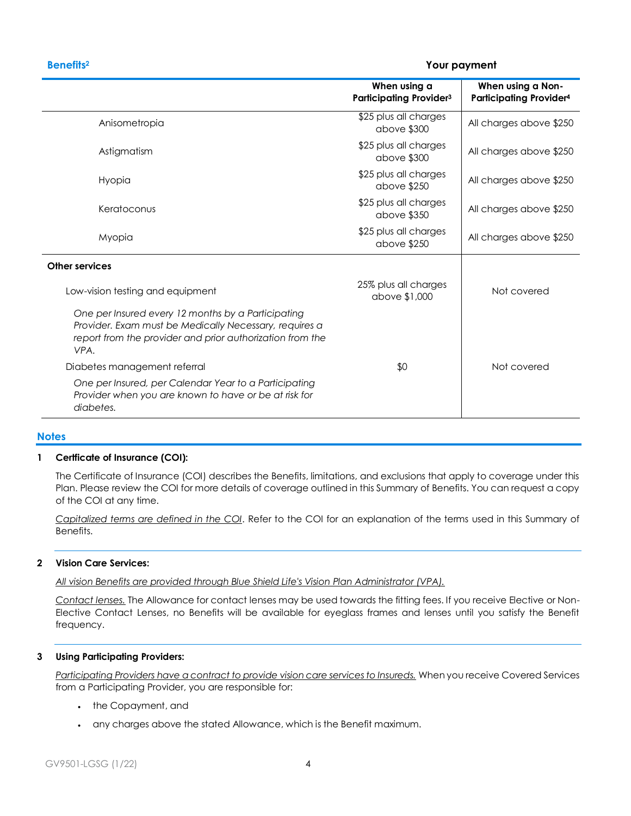## **Benefits<sup>2</sup> Your payment**

|                                                                                                                                                                                   | When using a<br>Participating Provider <sup>3</sup> | When using a Non-<br><b>Participating Provider4</b> |
|-----------------------------------------------------------------------------------------------------------------------------------------------------------------------------------|-----------------------------------------------------|-----------------------------------------------------|
| Anisometropia                                                                                                                                                                     | \$25 plus all charges<br>above \$300                | All charges above \$250                             |
| Astigmatism                                                                                                                                                                       | \$25 plus all charges<br>above \$300                | All charges above \$250                             |
| Hyopia                                                                                                                                                                            | \$25 plus all charges<br>above \$250                | All charges above \$250                             |
| Keratoconus                                                                                                                                                                       | \$25 plus all charges<br>above \$350                | All charges above \$250                             |
| Myopia                                                                                                                                                                            | \$25 plus all charges<br>above \$250                | All charges above \$250                             |
| <b>Other services</b>                                                                                                                                                             |                                                     |                                                     |
| Low-vision testing and equipment                                                                                                                                                  | 25% plus all charges<br>above \$1,000               | Not covered                                         |
| One per Insured every 12 months by a Participating<br>Provider. Exam must be Medically Necessary, requires a<br>report from the provider and prior authorization from the<br>VPA. |                                                     |                                                     |
| Diabetes management referral                                                                                                                                                      | \$0                                                 | Not covered                                         |
| One per Insured, per Calendar Year to a Participating<br>Provider when you are known to have or be at risk for<br>diabetes.                                                       |                                                     |                                                     |

## **Notes**

### **1 Certficate of Insurance (COI):**

The Certificate of Insurance (COI) describes the Benefits, limitations, and exclusions that apply to coverage under this Plan. Please review the COI for more details of coverage outlined in this Summary of Benefits. You can request a copy of the COI at any time.

*Capitalized terms are defined in the COI*. Refer to the COI for an explanation of the terms used in this Summary of Benefits.

### **2 Vision Care Services:**

*All vision Benefits are provided through Blue Shield Life's Vision Plan Administrator (VPA).*

*Contact lenses.* The Allowance for contact lenses may be used towards the fitting fees. If you receive Elective or Non-Elective Contact Lenses, no Benefits will be available for eyeglass frames and lenses until you satisfy the Benefit frequency.

## **3 Using Participating Providers:**

*Participating Providers have a contract to provide vision care services to Insureds.* When you receive Covered Services from a Participating Provider, you are responsible for:

- the Copayment, and
- any charges above the stated Allowance, which is the Benefit maximum.